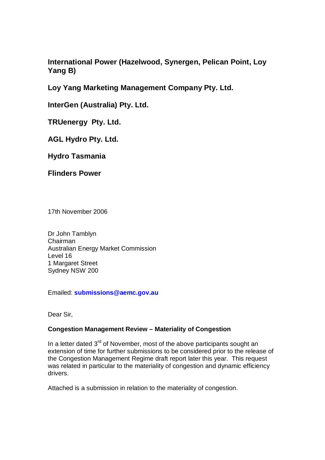**International Power (Hazelwood, Synergen, Pelican Point, Loy Yang B)**

**Loy Yang Marketing Management Company Pty. Ltd.**

**InterGen (Australia) Pty. Ltd.**

**TRUenergy Pty. Ltd.**

**AGL Hydro Pty. Ltd.**

**Hydro Tasmania**

**Flinders Power**

17th November 2006

Dr John Tamblyn Chairman Australian Energy Market Commission Level 16 1 Margaret Street Sydney NSW 200

Emailed: **submissions@aemc.gov.au**

Dear Sir,

# **Congestion Management Review – Materiality of Congestion**

In a letter dated 3  $r_{\rm{max}} = 1$  and  $r_{\rm{max}} = 1$  and  $r_{\rm{max}} = 10$ In a letter dated  $3<sup>rd</sup>$  of November, most of the above participants sought an extension of time for further submissions to be considered prior to the release of the Congestion Management Regime draft report later this year. This request was related in particular to the materiality of congestion and dynamic efficiency drivers.

Attached is <sup>a</sup> submission in relation to the materiality of congestion.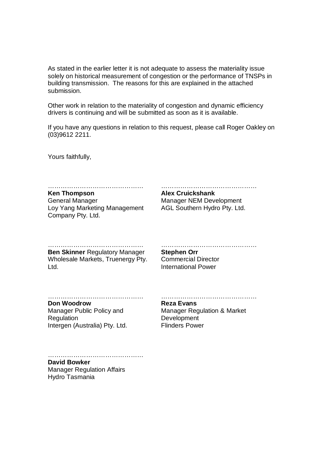As stated in the earlier letter it is not adequate to assess the materiality issue solely on historical measurement of congestion or the performance of TNSPs in building transmission. The reasons for this are explained in the attached submission.

Other work in relation to the materiality of congestion and dynamic efficiency drivers is continuing and will be submitted as soon as it is available.

If you have any questions in relation to this request, please call Roger Oakley on (03)9612 2211.

Yours faithfully,

……………………………………… **Ken Thompson Alex Cruickshank**

General Manager Loy Yang Marketing Management AGL Southern Hydro Pty. Ltd. Examples and the material manager<br>
Company Pty. Ltd.<br>
Company Pty. Ltd.<br>
Company Pty. Ltd. General Manager Manager NEM Development

……………………………………… **Ben Skinner** Regulatory Manager **Stephen Orr** Wholesale Markets, Truenergy Pty. Commercial Director Ben Skinner Regulatory Manager<br>
Wholesale Markets, Truenergy Pty. Commercial Director<br>
Ltd. Markets, Truenergy Pty. Commercial Director International Power

#### ……………………………………… **Don Woodrow Reza Evans**

Manager Public Policy and Regulation Regulation **Development** Intergen (Australia) Pty. Ltd. Flinders Power

Don Woodrow<br>
Nanager Public Policy and<br>
Reza Evans<br>
Regulation<br>
Intergen (Australia) Pty. Ltd.<br>
Tlinders Power<br>
Flinders Power Manager Public Policy and **Exam Manager Regulation & Market** 

……………………………………… **David Bowker**

Manager Regulation Affairs Hydro Tasmania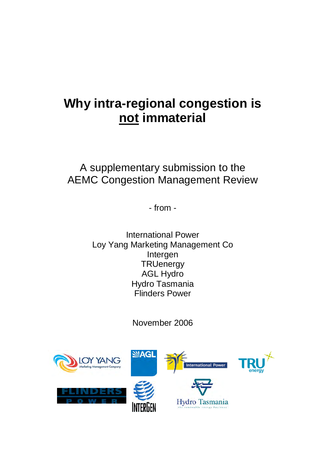# **Why intra-regional congestion is not immaterial**

A supplementary submission to the AEMC Congestion Management Review

- from  $f$  from  $-$  from  $-$ 

> International Power Loy Yang Marketing Management Co intergen in der der antalten der antalten in der antalten der antalten der antalten der antalten der antalten the control of the control of the TRUenergy  $\Gamma$ AGL Hydro Hydro Tasmania Flinders Power

> > November 2006

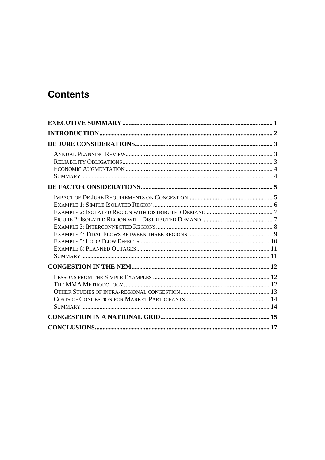# **Contents**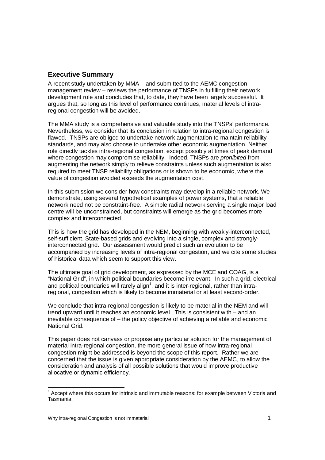# **Executive Summary**

A recent study undertaken by MMA – and submitted to the AEMC congestion management review – reviews the performance of TNSPs in fulfilling their network development role and concludes that, to date, they have been largely successful. It argues that, so long as this level of performance continues, material levels of intraregional congestion will be avoided.

The MMA study is <sup>a</sup> comprehensive and valuable study into the TNSPs' performance. Nevertheless, we consider that its conclusion in relation to intra-regional congestion is flawed. TNSPs are obliged to undertake network augmentation to maintain reliability standards, and may also choose to undertake other economic augmentation. Neither role directly tackles intra-regional congestion, except possibly at times of peak demand where congestion may compromise reliability. Indeed, TNSPs are *prohibited* from augmenting the network simply to relieve constraints unless such augmentation is also required to meet TNSP reliability obligations or is shown to be economic, where the value of congestion avoided exceeds the augmentation cost.

In this submission we consider how constraints may develop in <sup>a</sup> reliable network. We demonstrate, using several hypothetical examples of power systems, that <sup>a</sup> reliable network need not be constraint-free. A simple radial network serving <sup>a</sup> single major load centre will be unconstrained, but constraints will emerge as the grid becomes more complex and interconnected.

> This is how the grid has developed in the NEM, beginning with weakly-interconnected, self-sufficient, State-based grids and evolving into <sup>a</sup> single, complex and stronglyinterconnected grid. Our assessment would predict such an evolution to be accompanied by increasing levels of intra-regional congestion, and we cite some studies of historical data which seem to support this view.

The ultimate goal of grid development, as expressed by the MCE and COAG, is <sup>a</sup> "National Grid", in which political boundaries become irrelevant. In such <sup>a</sup> grid, electrical and political boundaries will rarely align<sup>1</sup>, and it is inter-regional, rather than intraregional, congestion which is likely to become immaterial or at least second-order.

> We conclude that intra-regional congestion is likely to be material in the NEM and will trend upward until it reaches an economic level. This is consistent with – and an inevitable consequence of – the policy objective of achieving <sup>a</sup> reliable and economic National Grid.

This paper does not canvass or propose any particular solution for the management of material intra-regional congestion, the more general issue of how intra-regional congestion might be addressed is beyond the scope of this report. Rather we are concerned that the issue is given appropriate consideration by the AEMC, to allow the consideration and analysis of all possible solutions that would improve productive allocative or dynamic efficiency.

 $<sup>1</sup>$  Accept where this occurs for intrinsic and immutable reasons: for example between Victoria and</sup> Tasmania.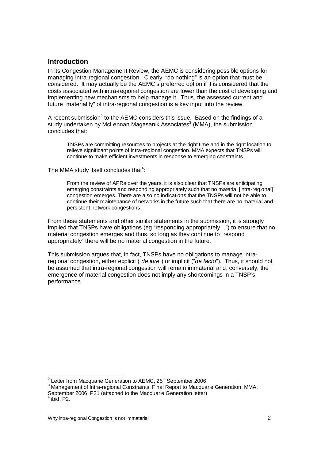# **Introduction**

In its Congestion Management Review, the AEMC is considering possible options for managing intra-regional congestion. Clearly, "do nothing" is an option that must be considered. It may actually be the AEMC's preferred option if it is considered that the costs associated with intra-regional congestion are lower than the cost of developing and implementing new mechanisms to help manage it. Thus, the assessed current and future "materiality" of intra-regional congestion is <sup>a</sup> key input into the review.

A recent submission  $\alpha$  xecent or beginning? A recent submission<sup>2</sup> to the AEMC considers this issue. Based on the findings of a study undertaken by McLennan Magasanik Associates $^3$  (MMA), the submission concludes that:

> TNSPs are committing resources to projects at the right time and in theright location to relieve significant points of intra-regional congestion. MMA expects that TNSPs will continue to make efficient investments in response to emerging constraints.

The MMA study itself concludes that $4$ :

From the review of APRs over the years, it is also clear that TNSPs are anticipating emerging constraints and responding appropriately such that no material [intra-regional] congestion emerges. There are also no indications that the TNSPs will not be able to continue their maintenance of networks in the future such that there are no material and persistent network congestions.

From these statements and other similar statements in the submission, it is strongly implied that TNSPs have obligations (eg "responding appropriately…") to ensure that no material congestion emerges and thus, so long as they continue to "respond appropriately" there will be no material congestion in the future.

This submission argues that, in fact, TNSPs have no obligations to manage intraregional congestion, either explicit ("de jure") or implicit ("de facto"). Thus, it should not be assumed that intra-regional congestion will remain immaterial and, conversely, the emergence of material congestion does not imply any shortcomings in <sup>a</sup> TNSP's performance.

 <sup>2</sup> <sup>2</sup> Letter from Macquarie Generation to AEMC, 25<sup>th</sup> September 2006

<sup>&</sup>lt;sup>3</sup> Management of Intra-regional Constraints, Final Report to Macquarie Generation, MMA,

September 2006, P21 (attached to the Macquarie Generation letter)<br><sup>4</sup> ibid. P2.  $\ddot{\text{ii}}$  ibid, P2.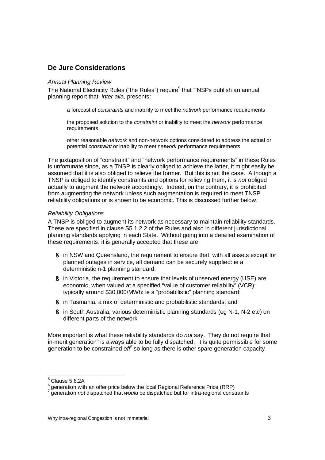# **De Jure Considerations**

#### Annual Planning Review

The National Electricity Rules ("the Rules") require 5 that TNSPs publish an annual planning report that, inter alia, presents:

<sup>a</sup> forecast of constraints and inability to meet the network performance requirements

the proposed solution to the constraint or inability to meet the network performance requirements requirements

> other reasonable *network* and non-network options considered to address the actual or potential *constraint* or inability to meet *network* performance requirements

The juxtaposition of "constraint" and "network performance requirements" in these Rules is unfortunate since, as <sup>a</sup> TNSP is clearly obliged to achieve the latter, it might easily be assumed that it is also obliged to relieve the former. But this is not the case. Although <sup>a</sup> TNSP is obliged to identify constraints and options for relieving them, it is not obliged actually to augment the network accordingly. Indeed, on the contrary, it is prohibited from augmenting the network unless such augmentation is required to meet TNSP reliability obligations or is shown to be economic. This is discussed further below.

### Reliability Obligations

A TNSP is obliged to augment its network as necessary to maintain reliability standards. These are specified in clause S5.1.2.2 of the Rules and also in different jurisdictional planning standards applying in each State. Without going into <sup>a</sup> detailed examination of these requirements, it is generally accepted that these are:

- § in NSW and Queensland, the requirement to ensure that, with all assets except for planned outages in service, all demand can be securely supplied: ie <sup>a</sup> deterministic n-1 planning standard;
- § in Victoria, the requirement to ensure that levels of unserved energy (USE) are economic, when valued at <sup>a</sup> specified "value of customer reliability" (VCR): typically around \$30,000/MWh: ie <sup>a</sup> "probabilistic" planning standard;
- § in Tasmania, <sup>a</sup> mix of deterministic and probabilistic standards; and
- § in South Australia, various deterministic planning standards (eg N-1, N-2 etc) on different parts of the network

More important is what these reliability standards do not say. They do not require that in-merit generation  $\frac{1}{2}$   $\frac{1}{2}$   $\frac{1}{2}$   $\frac{1}{2}$   $\frac{1}{2}$   $\frac{1}{2}$   $\frac{1}{2}$   $\frac{1}{2}$   $\frac{1}{2}$   $\frac{1}{2}$   $\frac{1}{2}$   $\frac{1}{2}$   $\frac{1}{2}$   $\frac{1}{2}$   $\frac{1}{2}$   $\frac{1}{2}$   $\frac{1}{2}$   $\frac{1}{2}$   $\frac{1}{2}$   $\frac{1}{2}$   $\frac{1}{2}$   $\frac{1}{2}$  in-merit generation<sup>6</sup> is always able to be fully dispatched. It is quite permissible for some generation to be constrained of  $\vec{r}$  so long as there is other spare generation capacity

 $5$  Clause 5.6.2A

 $\sim$  600  $\sim$  600  $\sim$  600  $\sim$  600  $\sim$  600  $\sim$  600  $\sim$  600  $\sim$  600  $\sim$  600  $\sim$  600  $\sim$  600  $\sim$  600  $\sim$  600  $\sim$  600  $\sim$  600  $\sim$  600  $\sim$  600  $\sim$  600  $\sim$  600  $\sim$  600  $\sim$  600  $\sim$  600  $\sim$  600  $\sim$  600  $\sim$  <sup>6</sup> deneration with an offer price below the local Regional Reference Price (RRP)

generation not dispatched that would be dispatched but for intra-regional constraints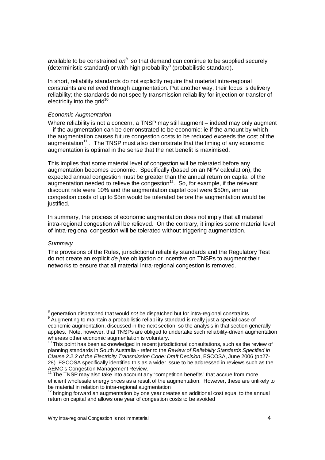available to be constrained  $on^8$  so that demand can continue to be supplied securely (deterministic standard) or with high probability<sup>9</sup> (probabilistic standard).

In short, reliability standards do not explicitly require that material intra-regional constraints are relieved through augmentation. Put another way, their focus is delivery reliability; the standards do not specify transmission reliability for injection or transfer of electricity into the grid  $10$ electricity into the grid<sup>10</sup>.

#### Economic Augmentation

Where reliability is not <sup>a</sup> concern, <sup>a</sup> TNSP may still augment – indeed may only augment – if the augmentation can be demonstrated to be economic: ie if the amount by which the augmentation causes future congestion costs to be reduced exceeds the cost of the augmentation 11 augmentation<sup>11</sup>. The TNSP must also demonstrate that the timing of any economic augmentation is optimal in the sense that the net benefit is maximised.

This implies that some material level of congestion will be tolerated before any augmentation becomes economic. Specifically (based on an NPV calculation), the expected annual congestion must be greater than the annual return on capital of the augmentation needed to relieve the congestion<sup>12</sup>. So, for example, if the relevant discount rate were 10% and the augmentation capital cost were \$50m, annual congestion costs of up to \$5m would be tolerated before the augmentation would be justified.

> In summary, the process of economic augmentation does not imply that all material intra-regional congestion will be relieved. On the contrary, it implies some material level of intra-regional congestion will be tolerated without triggering augmentation.

#### **Summary**

The provisions of the Rules, jurisdictional reliability standards and the Regulatory Test do not create an explicit de jure obligation or incentive on TNSPs to augment their networks to ensure that all material intra-regional congestion is removed.

en andere andere andere andere andere andere andere andere andere andere andere andere andere andere andere a<br>Beste der andere andere andere andere andere andere andere andere andere andere andere andere andere andere an  $8$  generation dispatched that would not be dispatched but for intra-regional constraints <sup>9</sup> Augmenting to maintain a probabilistic reliability standard is really just a special case of

economic augmentation, discussed in the next section, so the analysis in that section generally applies. Note, however, that TNSPs are obliged to undertake such reliability-driven augmentation whereas other economic augmentation is voluntary.<br>
<sup>10</sup> This point has been acknowledged in recent jurisdictional consultations, such as the review of

planning standards in South Australia - refer to the Review of Reliability Standards Specified in Clause 2.2.2 of the Electricity Transmission Code: Draft Decision, ESCOSA, June 2006 (pp27- 28). ESCOSA specifically identified this as a wider issue to be addressed in reviews such as the AEMC's Congestion Management Review.

 $^1$  The TNSP may also take into account any "competition benefits" that accrue from more efficient wholesale energy prices as <sup>a</sup> result of the augmentation. However, these are unlikely to be material in relation to intra-regional augmentation

 $12$  $12$  bringing forward an augmentation by one year creates an additional cost equal to the annual return on capital and allows one year of congestion costs to be avoided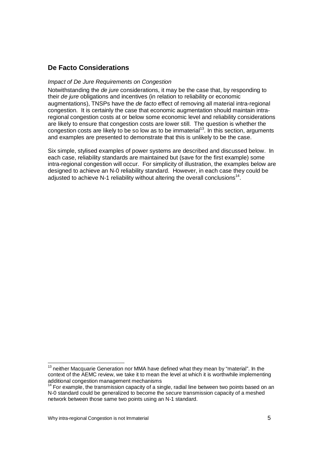# **De Facto Considerations**

#### Impact of De Jure Requirements on Congestion

Notwithstanding the de jure considerations, it may be the case that, by responding to their de jure obligations and incentives (in relation to reliability or economic augmentations), TNSPs have the de facto effect of removing all material intra-regional congestion. It is certainly the case that economic augmentation should maintain intraregional congestion costs at or below some economic level and reliability considerations are likely to ensure that congestion costs are lower still. The question is whether the congestion costs are likely to be so low as to be immaterial<sup>13</sup>. In this section, arguments and examples are presented to demonstrate that this is unlikely to be the case.

> Six simple, stylised examples of power systems are described and discussed below. In each case, reliability standards are maintained but (save for the first example) some intra-regional congestion will occur. For simplicity of illustration, the examples below are designed to achieve an N-0 reliability standard. However, in each case they could be adjusted to achieve N-1 reliability without altering the overall conclusions<sup>14</sup>.

<sup>13</sup>  $13$  neither Macquarie Generation nor MMA have defined what they mean by "material". In the context of the AEMC review, we take it to mean the level at which it is worthwhile implementing<br>additional congestion management mechanisms

 $14$  For example, the transmission capacity of a single, radial line between two points based on an N-0 standard could be generalized to become the secure transmission capacity of <sup>a</sup> meshed network between those same two points using an N-1 standard.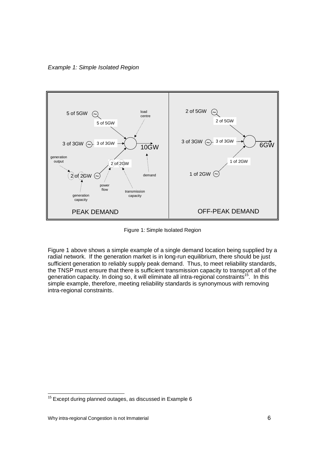Example 1: Simple Isolated Region



Figure 1: Simple Isolated Region

Figure 1 above shows <sup>a</sup> simple example of <sup>a</sup> single demand location being supplied by <sup>a</sup> radial network. If the generation market is in long-run equilibrium, there should be just sufficient generation to reliably supply peak demand. Thus, to meet reliability standards, the TNSP must ensure that there is sufficient transmission capacity to transport all of the generation capacity. In doing so, it will eliminate all intra-regional constraints<sup>15</sup>. In this simple example, therefore, meeting reliability standards is synonymous with removing intra-regional constraints.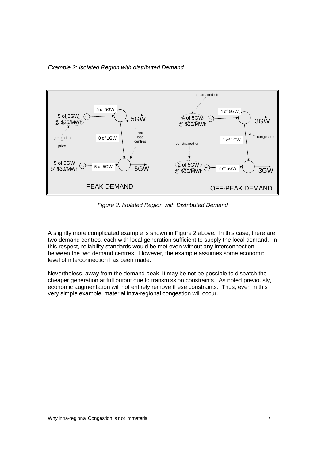Example 2: Isolated Region with distributed Demand



Figure 2: Isolated Region with Distributed Demand

A slightly more complicated example is shown in Figure 2 above. In this case, there are two demand centres, each with local generation sufficient to supply the local demand. In this respect, reliability standards would be met even without any interconnection between the two demand centres. However, the example assumes some economic level of interconnection has been made.

Nevertheless, away from the demand peak, it may be not be possible to dispatch the cheaper generation at full output due to transmission constraints. As noted previously, economic augmentation will not entirely remove these constraints. Thus, even in this very simple example, material intra-regional congestion will occur.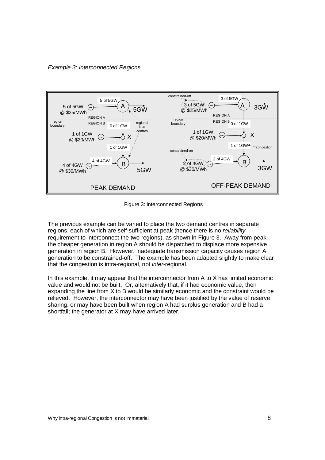Example 3: Interconnected Regions



Figure 3: Interconnected Regions

The previous example can be varied to place the two demand centres in separate regions, each of which are self-sufficient at peak (hence there is no reliability requirement to interconnect the two regions), as shown in Figure 3. Away from peak, the cheaper generation in region A should be dispatched to displace more expensive generation in region B. However, inadequate transmission capacity causes region A generation to be constrained-off. The example has been adapted slightly to make clear that the congestion is intra-regional, not inter-regional.

In this example, it may appear that the interconnector from A to X has limited economic value and would not be built. Or, alternatively that, if it had economic value, then expanding the line from X to B would be similarly economic and the constraint would be relieved. However, the interconnector may have been justified by the value of reserve sharing, or may have been built when region A had surplus generation and B had <sup>a</sup>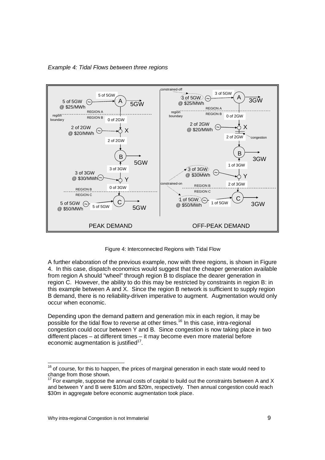

Example 4: Tidal Flows between three regions



A further elaboration of the previous example, now with three regions, is shown in Figure 4. In this case, dispatch economics would suggest that the cheaper generation available from region A should "wheel" through region B to displace the dearer generation in region C. However, the ability to do this may be restricted by constraints in region B: in this example between A and X. Since the region B network is sufficient to supply region B demand, there is no reliability-driven imperative to augment. Augmentation would only occur when economic.

Depending upon the demand pattern and generation mix in each region, it may be possible for the tidal flow to reverse at other times.<sup>16</sup> In this case, intra-regional congestion could occur between Y and B. Since congestion is now taking place in two different places – at different times – it may become even more material before economic augmentation is justified<sup>17</sup>.

 $16$  $16$  of course, for this to happen, the prices of marginal generation in each state would need to change from those shown.

 $17$  For example, suppose the annual costs of capital to build out the constraints between A and X and between Y and B were \$10m and \$20m, respectively. Then annual congestion could reach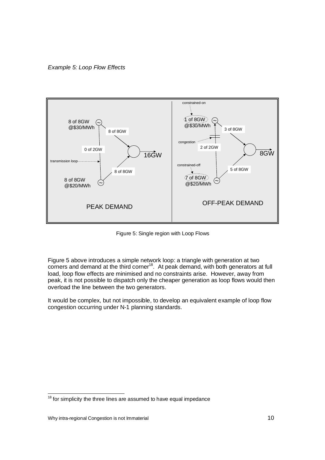Example 5: Loop Flow Effects



Figure 5: Single region with Loop Flows

Figure 5 above introduces <sup>a</sup> simple network loop: <sup>a</sup> triangle with generation at two corners and demand at the third corner<sup>18</sup>. At peak demand, with both generators at full load, loop flow effects are minimised and no constraints arise. However, away from peak, it is not possible to dispatch only the cheaper generation as loop flows would then overload the line between the two generators.

> It would be complex, but not impossible, to develop an equivalent example of loop flow congestion occurring under N-1 planning standards.

 $18$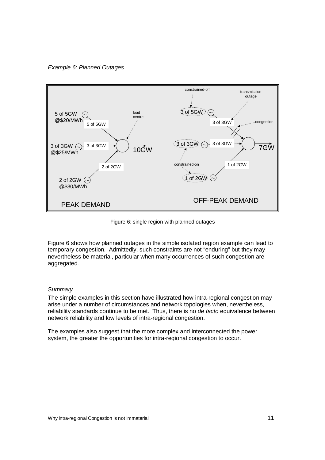Example 6: Planned Outages



Figure 6: single region with planned outages

Figure 6 shows how planned outages in the simple isolated region example can lead to temporary congestion. Admittedly, such constraints are not "enduring" but they may nevertheless be material, particular when many occurrences of such congestion are aggregated.

#### **Summary**

The simple examples in this section have illustrated how intra-regional congestion may arise under <sup>a</sup> number of circumstances and network topologies when, nevertheless, reliability standards continue to be met. Thus, there is no de facto equivalence between network reliability and low levels of intra-regional congestion.

The examples also suggest that the more complex and interconnected the power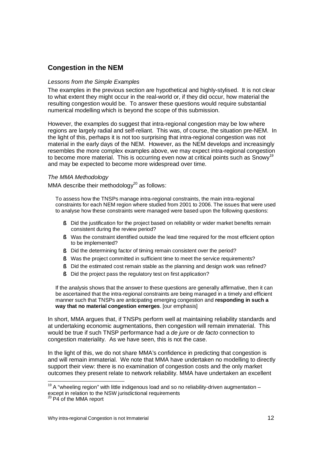# **Congestion in the NEM**

### Lessons from the Simple Examples

The examples in the previous section are hypothetical and highly-stylised. It is not clear to what extent they might occur in the real-world or, if they did occur, how material the resulting congestion would be. To answer these questions would require substantial numerical modelling which is beyond the scope of this submission.

However, the examples do suggest that intra-regional congestion may be low where regions are largely radial and self-reliant. This was, of course, the situation pre-NEM. In the light of this, perhaps it is not too surprising that intra-regional congestion was not material in the early days of the NEM. However, as the NEM develops and increasingly resembles the more complex examples above, we may expect intra-regional congestion to become more material. This is occurring even now at critical points such as Snowy<sup>19</sup> and may be expected to become more widespread over time.

### The MMA Methodology

MMA describe their methodology $^{20}$ MMA describe their methodology<sup>20</sup> as follows:

> To assess how the TNSPs manage intra-regional constraints, the main intra-regional constraints for each NEM region where studied from 2001 to 2006. The issues that were used to analyse how these constraints were managed were based upon the following questions:

- § Did the justification for the project based on reliability or wider market benefits remain consistent during the review period? consistent during the review period?
	- § Was the constraint identified outside the lead time required for the most efficient option to be implemented?
		- § Did the determining factor of timing remain consistent over the period?
		- § Was the project committed in sufficient time to meet the service requirements?
		- § Did the estimated cost remain stable as the planning and design work was refined?
		- § Did the project pass the regulatory test on first application?

If the analysis shows that the answer to these questions are generally affirmative, then it can be ascertained that the intra-regional constraints are being managed in <sup>a</sup> timely and efficient manner such that TNSPs are anticipating emerging congestion and **responding in such <sup>a</sup> way that no material congestion emerges**. [our emphasis]

In short, MMA argues that, if TNSPs perform well at maintaining reliability standards and at undertaking economic augmentations, then congestion will remain immaterial. This would be true if such TNSP performance had a de jure or de facto connection to congestion materiality. As we have seen, this is not the case.

In the light of this, we do not share MMA's confidence in predicting that congestion is and will remain immaterial. We note that MMA have undertaken no modelling to directly support their view: there is no examination of congestion costs and the only market outcomes they present relate to network reliability. MMA have undertaken an excellent

 $19$  A "wheeling region" with little indigenous load and so no reliability-driven augmentation – except in relation to the NSW jurisdictional requirements <sup>20</sup> P4 of the MMA report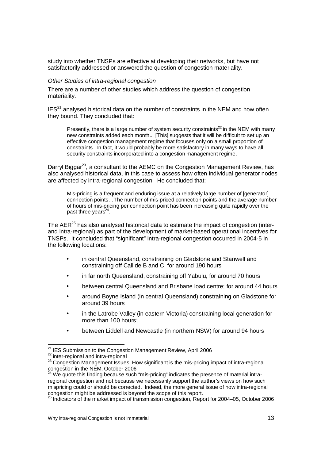study into whether TNSPs are effective at developing their networks, but have not satisfactorily addressed or answered the question of congestion materiality.

#### Other Studies of intra-regional congestion

There are <sup>a</sup> number of other studies which address the question of congestion materiality.

 $IES^{21}$  $IES<sup>21</sup>$  analysed historical data on the number of constraints in the NEM and how often they bound. They concluded that:

Presently, there is a large number of system security constraints<sup>22</sup> in the NEM with many new constraints added each month... [This] suggests that it will be difficult to set up an effective congestion management regime that focuses only on <sup>a</sup> small proportion of constraints. In fact, it would probably be more satisfactory in many ways to have all security constraints incorporated into <sup>a</sup> congestion management regime.

> Darryl Biggar<sup>23</sup> Darryl Biggar<sup>23</sup>, a consultant to the AEMC on the Congestion Management Review, has also analysed historical data, in this case to assess how often individual generator nodes are affected by intra-regional congestion. He concluded that:

> Mis-pricing is <sup>a</sup> frequent and enduring issue at <sup>a</sup> relatively large number of [generator] connection points…The number of mis-priced connection points and the average number of hours of mis-pricing per connection point has been increasing quite rapidly over the  $p$ ast three years<sup>24</sup> past three years<sup>24</sup>.

 $\blacksquare$  The AER $^{25}$ The AER<sup>25</sup> has also analysed historical data to estimate the impact of congestion (inter-<br>and intra-regional) as part of the development of market-based operational incentives for TNSPs. It concluded that "significant" intra-regional congestion occurred in 2004-5 in the following locations:

- • in central Queensland, constraining on Gladstone and Stanwell and constraining off Callide B and C, for around 190 hours
- •in far north Queensland, constraining off Yabulu, for around 70 hours
- •between central Queensland and Brisbane load centre; for around 44 hours
- • around Boyne Island (in central Queensland) constraining on Gladstone for around 39 hours
- • in the Latrobe Valley (in eastern Victoria) constraining local generation for more than 100 hours;
	- •between Liddell and Newcastle (in northern NSW) for around 94 hours

 <sup>21</sup> <sup>21</sup> IES Submission to the Congestion Management Review, April 2006<br><sup>22</sup> inter-regional and intra-regional

<sup>22</sup>

<sup>&</sup>lt;sup>23</sup> Congestion Management Issues: How significant is the mis-pricing impact of intra-regional congestion in the NEM, October 2006

 $^{24}$  We quote this finding because such "mis-pricing" indicates the presence of material intraregional congestion and not because we necessarily support the author's views on how such mispricing could or should be corrected. Indeed, the more general issue of how intra-regional

congestion might be addressed is beyond the scope of this report.<br><sup>25</sup> Indicators of the market impact of transmission congestion, Report for 2004–05, October 2006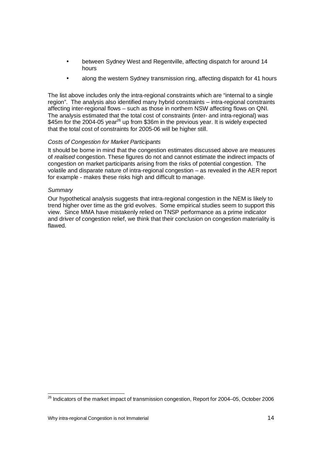- • between Sydney West and Regentville, affecting dispatch for around 14 hours and the contract of the bours of the contract of the contract of the contract of the contract of the con
	- •along the western Sydney transmission ring, affecting dispatch for 41 hours

The list above includes only the intra-regional constraints which are "internal to <sup>a</sup> single region". The analysis also identified many hybrid constraints – intra-regional constraints affecting inter-regional flows – such as those in northern NSW affecting flows on QNI. The analysis estimated that the total cost of constraints (inter- and intra-regional) was  $$45m$  for the 2004-05 year $^{26}$ \$45m for the 2004-05 year<sup>26</sup> up from \$36m in the previous year. It is widely expected that the total cost of constraints for 2005-06 will be higher still.

## Costs of Congestion for Market Participants

It should be borne in mind that the congestion estimates discussed above are measures of realised congestion. These figures do not and cannot estimate the indirect impacts of congestion on market participants arising from the risks of potential congestion. The volatile and disparate nature of intra-regional congestion – as revealed in the AER report for example - makes these risks high and difficult to manage.

## **Summary**

Our hypothetical analysis suggests that intra-regional congestion in the NEM is likely to trend higher over time as the grid evolves. Some empirical studies seem to support this view. Since MMA have mistakenly relied on TNSP performance as <sup>a</sup> prime indicator and driver of congestion relief, we think that their conclusion on congestion materiality is flawed.

<sup>&</sup>lt;u>26</u> <sup>26</sup> Indicators of the market impact of transmission congestion, Report for 2004–05, October 2006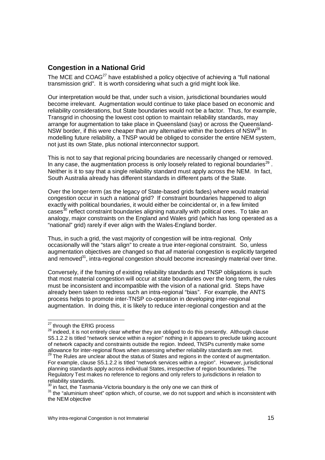# **Congestion in <sup>a</sup> National Grid**

 $\blacksquare$  The MCE and COAG $^{27}$ The MCE and COAG<sup>27</sup> have established a policy objective of achieving a "full national transmission grid". It is worth considering what such <sup>a</sup> grid might look like.

Our interpretation would be that, under such <sup>a</sup> vision, jurisdictional boundaries would become irrelevant. Augmentation would continue to take place based on economic and reliability considerations, but State boundaries would not be <sup>a</sup> factor. Thus, for example, Transgrid in choosing the lowest cost option to maintain reliability standards, may arrange for augmentation to take place in Queensland (say) or across the Queensland- NSW border, if this were cheaper than any alternative within the borders of NSW $^{28}$  In modelling future reliability, <sup>a</sup> TNSP would be obliged to consider the entire NEM system, not just its own State, plus notional interconnector support.

> This is not to say that regional pricing boundaries are necessarily changed or removed. In any case, the augmentation process is only loosely related to regional boundaries<sup>29</sup>. Neither is it to say that <sup>a</sup> single reliability standard must apply across the NEM. In fact, South Australia already has different standards in different parts of the State.

Over the longer-term (as the legacy of State-based grids fades) where would material congestion occur in such <sup>a</sup> national grid? If constraint boundaries happened to align exactly with political boundaries, it would either be coincidental or, in <sup>a</sup> few limited cases<sup>30</sup> cases<sup>30</sup> reflect constraint boundaries aligning naturally with political ones. To take an analogy, major constraints on the England and Wales grid (which has long operated as <sup>a</sup> "national" grid) rarely if ever align with the Wales-England border.

Thus, in such <sup>a</sup> grid, the vast majority of congestion will be intra-regional. Only occasionally will the "stars align" to create <sup>a</sup> true inter-regional constraint. So, unless augmentation objectives are changed so that all material congestion is explicitly targeted and removed  $\sim 31$ and removed $31$ , intra-regional congestion should become increasingly material over time.

> Conversely, if the framing of existing reliability standards and TNSP obligations is such that most material congestion will occur at state boundaries over the long term, the rules must be inconsistent and incompatible with the vision of <sup>a</sup> national grid. Steps have already been taken to redress such an intra-regional "bias". For example, the ANTS process helps to promote inter-TNSP co-operation in developing inter-regional augmentation. In doing this, it is likely to reduce inter-regional congestion and at the

<sup>&</sup>lt;u>27 and 27</u>  $\frac{27}{28}$  through the ERIG process

<sup>&</sup>lt;sup>28</sup> indeed, it is not entirely clear whether they are obliged to do this presently. Although clause S5.1.2.2 is titled "network service within a region" nothing in it appears to preclude taking account of network capacity and constraints outside the region. Indeed, TNSPs currently make some allowance for inter-regional flows when assessing whether reliability standards are met.<br><sup>29</sup> The Rules are unclear about the status of States and regions in the context of augmentation.

For example, clause S5.1.2.2 is titled "network services within <sup>a</sup> region". However, jurisdictional planning standards apply across individual States, irrespective of region boundaries. The Regulatory Test makes no reference to regions and only refers to jurisdictions in relation to reliability standards. reliability standards.

 $30$  in fact, the Tasmania-Victoria boundary is the only one we can think of

<sup>31</sup> <sup>31</sup> the "aluminium sheet" option which, of course, we do not support and which is inconsistent with the NEM objective the NEM objective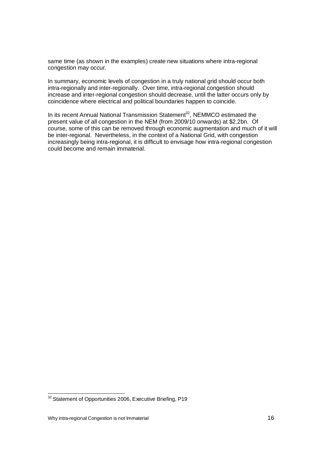same time (as shown in the examples) create new situations where intra-regional congestion may occur.

> In summary, economic levels of congestion in <sup>a</sup> truly national grid should occur both intra-regionally and inter-regionally. Over time, intra-regional congestion should increase and inter-regional congestion should decrease, until the latter occurs only by coincidence where electrical and political boundaries happen to coincide.

In its recent Annual National Transmission Statement<sup>32</sup>, NEMMCO estimated the present value of all congestion in the NEM (from 2009/10 onwards) at \$2.2bn. Of course, some of this can be removed through economic augmentation and much of it will be inter-regional. Nevertheless, in the context of <sup>a</sup> National Grid, with congestion increasingly being intra-regional, it is difficult to envisage how intra-regional congestion could become and remain immaterial.

<sup>&</sup>lt;sup>32</sup> Statement of Opportunities 2006, Executive Briefing, P19